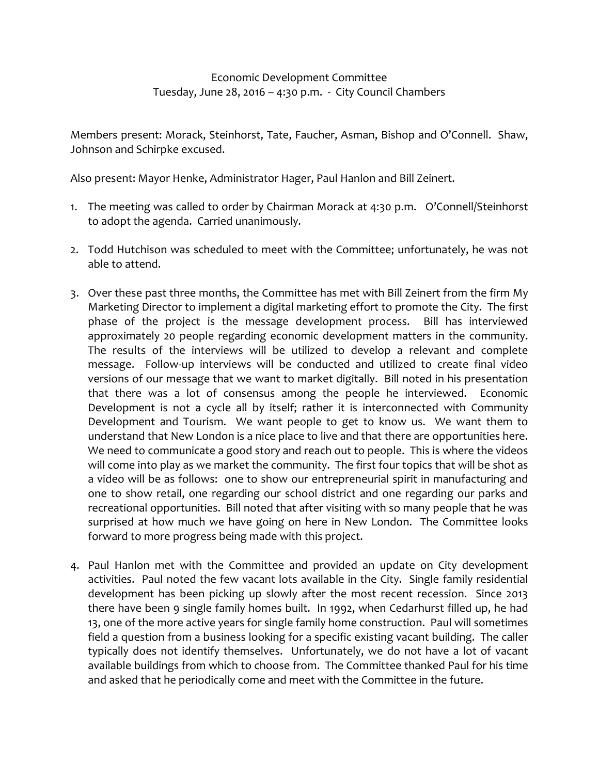## Economic Development Committee Tuesday, June 28, 2016 – 4:30 p.m. - City Council Chambers

Members present: Morack, Steinhorst, Tate, Faucher, Asman, Bishop and O'Connell. Shaw, Johnson and Schirpke excused.

Also present: Mayor Henke, Administrator Hager, Paul Hanlon and Bill Zeinert.

- 1. The meeting was called to order by Chairman Morack at 4:30 p.m. O'Connell/Steinhorst to adopt the agenda. Carried unanimously.
- 2. Todd Hutchison was scheduled to meet with the Committee; unfortunately, he was not able to attend.
- 3. Over these past three months, the Committee has met with Bill Zeinert from the firm My Marketing Director to implement a digital marketing effort to promote the City. The first phase of the project is the message development process. Bill has interviewed approximately 20 people regarding economic development matters in the community. The results of the interviews will be utilized to develop a relevant and complete message. Follow-up interviews will be conducted and utilized to create final video versions of our message that we want to market digitally. Bill noted in his presentation that there was a lot of consensus among the people he interviewed. Economic Development is not a cycle all by itself; rather it is interconnected with Community Development and Tourism. We want people to get to know us. We want them to understand that New London is a nice place to live and that there are opportunities here. We need to communicate a good story and reach out to people. This is where the videos will come into play as we market the community. The first four topics that will be shot as a video will be as follows: one to show our entrepreneurial spirit in manufacturing and one to show retail, one regarding our school district and one regarding our parks and recreational opportunities. Bill noted that after visiting with so many people that he was surprised at how much we have going on here in New London. The Committee looks forward to more progress being made with this project.
- 4. Paul Hanlon met with the Committee and provided an update on City development activities. Paul noted the few vacant lots available in the City. Single family residential development has been picking up slowly after the most recent recession. Since 2013 there have been 9 single family homes built. In 1992, when Cedarhurst filled up, he had 13, one of the more active years for single family home construction. Paul will sometimes field a question from a business looking for a specific existing vacant building. The caller typically does not identify themselves. Unfortunately, we do not have a lot of vacant available buildings from which to choose from. The Committee thanked Paul for his time and asked that he periodically come and meet with the Committee in the future.